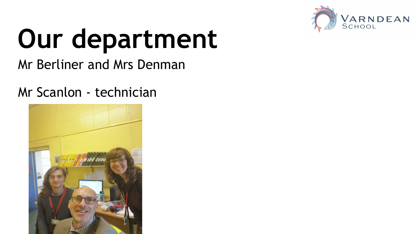

# **Our department**

Mr Berliner and Mrs Denman

#### Mr Scanlon - technician

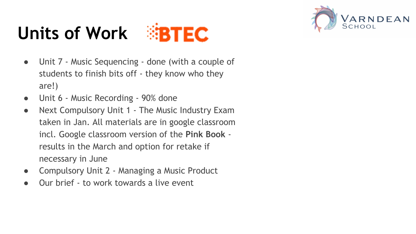## Units of Work **BTEC**



- Unit 7 Music Sequencing done (with a couple of students to finish bits off - they know who they are!)
- Unit 6 Music Recording 90% done
- Next Compulsory Unit 1 The Music Industry Exam taken in Jan. All materials are in google classroom incl. Google classroom version of the **Pink Book** results in the March and option for retake if necessary in June
- Compulsory Unit 2 Managing a Music Product
- Our brief to work towards a live event

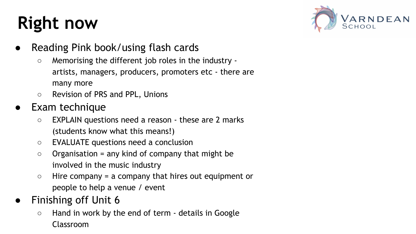### **Right now**



- Reading Pink book/using flash cards
	- Memorising the different job roles in the industry artists, managers, producers, promoters etc - there are many more
	- Revision of PRS and PPL, Unions
- **Exam technique** 
	- EXPLAIN questions need a reason these are 2 marks (students know what this means!)
	- EVALUATE questions need a conclusion
	- $\circ$  Organisation = any kind of company that might be involved in the music industry
	- $\circ$  Hire company = a company that hires out equipment or people to help a venue / event
- Finishing off Unit 6
	- Hand in work by the end of term details in Google Classroom